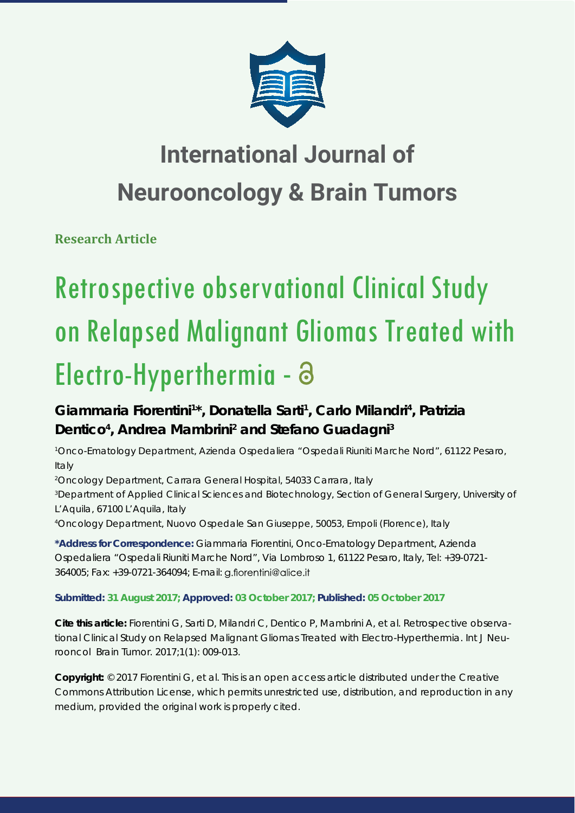

## **International Journal of Neurooncology & Brain Tumors**

**Research Article**

# Retrospective observational Clinical Study on Relapsed Malignant Gliomas Treated with Electro-Hyperthermia -

## Giammaria Fiorentini<sup>1\*</sup>, Donatella Sarti<sup>1</sup>, Carlo Milandri<sup>4</sup>, Patrizia Dentico<sup>4</sup>, Andrea Mambrini<sup>2</sup> and Stefano Guadagni<sup>3</sup>

*1 Onco-Ematology Department, Azienda Ospedaliera "Ospedali Riuniti Marche Nord", 61122 Pesaro, Italy*

*2 Oncology Department, Carrara General Hospital, 54033 Carrara, Italy 3 Department of Applied Clinical Sciences and Biotechnology, Section of General Surgery, University of L'Aquila, 67100 L'Aquila, Italy*

*4 Oncology Department, Nuovo Ospedale San Giuseppe, 50053, Empoli (Florence), Italy*

**\*Address for Correspondence:** Giammaria Fiorentini, Onco-Ematology Department, Azienda Ospedaliera "Ospedali Riuniti Marche Nord", Via Lombroso 1, 61122 Pesaro, Italy, Tel: +39-0721- 364005; Fax: +39-0721-364094; E-mail:

### **Submitted: 31 August 2017; Approved: 03 October 2017; Published: 05 October 2017**

**Cite this article:** Fiorentini G, Sarti D, Milandri C, Dentico P, Mambrini A, et al. Retrospective observational Clinical Study on Relapsed Malignant Gliomas Treated with Electro-Hyperthermia. Int J Neurooncol Brain Tumor. 2017;1(1): 009-013.

**Copyright:** © 2017 Fiorentini G, et al. This is an open access article distributed under the Creative Commons Attribution License, which permits unrestricted use, distribution, and reproduction in any medium, provided the original work is properly cited.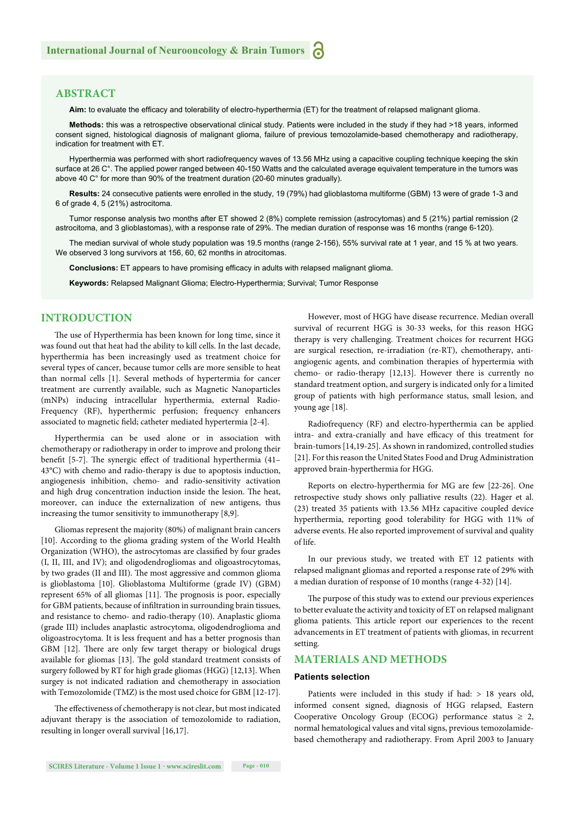#### **ABSTRACT**

Aim: to evaluate the efficacy and tolerability of electro-hyperthermia (ET) for the treatment of relapsed malignant glioma.

**Methods:** this was a retrospective observational clinical study. Patients were included in the study if they had >18 years, informed consent signed, histological diagnosis of malignant glioma, failure of previous temozolamide-based chemotherapy and radiotherapy, indication for treatment with ET.

Hyperthermia was performed with short radiofrequency waves of 13.56 MHz using a capacitive coupling technique keeping the skin surface at 26 C°. The applied power ranged between 40-150 Watts and the calculated average equivalent temperature in the tumors was above 40 C° for more than 90% of the treatment duration (20-60 minutes gradually).

**Results:** 24 consecutive patients were enrolled in the study, 19 (79%) had glioblastoma multiforme (GBM) 13 were of grade 1-3 and 6 of grade 4, 5 (21%) astrocitoma.

Tumor response analysis two months after ET showed 2 (8%) complete remission (astrocytomas) and 5 (21%) partial remission (2 astrocitoma, and 3 glioblastomas), with a response rate of 29%. The median duration of response was 16 months (range 6-120).

The median survival of whole study population was 19.5 months (range 2-156), 55% survival rate at 1 year, and 15 % at two years. We observed 3 long survivors at 156, 60, 62 months in atrocitomas.

**Conclusions:** ET appears to have promising efficacy in adults with relapsed malignant glioma.

**Keywords:** Relapsed Malignant Glioma; Electro-Hyperthermia; Survival; Tumor Response

#### **INTRODUCTION**

The use of Hyperthermia has been known for long time, since it was found out that heat had the ability to kill cells. In the last decade, hyperthermia has been increasingly used as treatment choice for several types of cancer, because tumor cells are more sensible to heat than normal cells [1]. Several methods of hypertermia for cancer treatment are currently available, such as Magnetic Nanoparticles (mNPs) inducing intracellular hyperthermia, external Radio-Frequency (RF), hyperthermic perfusion; frequency enhancers associated to magnetic field; catheter mediated hypertermia [2-4].

Hyperthermia can be used alone or in association with chemotherapy or radiotherapy in order to improve and prolong their benefit [5-7]. The synergic effect of traditional hyperthermia (41– 43°C) with chemo and radio-therapy is due to apoptosis induction, angiogenesis inhibition, chemo- and radio-sensitivity activation and high drug concentration induction inside the lesion. The heat, moreover, can induce the externalization of new antigens, thus increasing the tumor sensitivity to immunotherapy [8,9].

Gliomas represent the majority (80%) of malignant brain cancers [10]. According to the glioma grading system of the World Health Organization (WHO), the astrocytomas are classified by four grades (I, II, III, and IV); and oligodendrogliomas and oligoastrocytomas, by two grades (II and III). The most aggressive and common glioma is glioblastoma [10]. Glioblastoma Multiforme (grade IV) (GBM) represent 65% of all gliomas [11]. The prognosis is poor, especially for GBM patients, because of infiltration in surrounding brain tissues, and resistance to chemo- and radio-therapy (10). Anaplastic glioma (grade III) includes anaplastic astrocytoma, oligodendroglioma and oligoastrocytoma. It is less frequent and has a better prognosis than GBM [12]. There are only few target therapy or biological drugs available for gliomas [13]. The gold standard treatment consists of surgery followed by RT for high grade gliomas (HGG) [12,13]. When surgey is not indicated radiation and chemotherapy in association with Temozolomide (TMZ) is the most used choice for GBM [12-17].

The effectiveness of chemotherapy is not clear, but most indicated adjuvant therapy is the association of temozolomide to radiation, resulting in longer overall survival [16,17].

However, most of HGG have disease recurrence. Median overall survival of recurrent HGG is 30-33 weeks, for this reason HGG therapy is very challenging. Treatment choices for recurrent HGG are surgical resection, re-irradiation (re-RT), chemotherapy, antiangiogenic agents, and combination therapies of hypertermia with chemo- or radio-therapy [12,13]. However there is currently no standard treatment option, and surgery is indicated only for a limited group of patients with high performance status, small lesion, and young age [18].

Radiofrequency (RF) and electro-hyperthermia can be applied intra- and extra-cranially and have efficacy of this treatment for brain-tumors [14,19-25]. As shown in randomized, controlled studies [21]. For this reason the United States Food and Drug Administration approved brain-hyperthermia for HGG.

Reports on electro-hyperthermia for MG are few [22-26]. One retrospective study shows only palliative results (22). Hager et al. (23) treated 35 patients with 13.56 MHz capacitive coupled device hyperthermia, reporting good tolerability for HGG with 11% of adverse events. He also reported improvement of survival and quality of life.

In our previous study, we treated with ET 12 patients with relapsed malignant gliomas and reported a response rate of 29% with a median duration of response of 10 months (range 4-32) [14].

The purpose of this study was to extend our previous experiences to better evaluate the activity and toxicity of ET on relapsed malignant glioma patients. This article report our experiences to the recent advancements in ET treatment of patients with gliomas, in recurrent setting.

#### **MATERIALS AND METHODS**

#### **Patients selection**

Patients were included in this study if had: > 18 years old, informed consent signed, diagnosis of HGG relapsed, Eastern Cooperative Oncology Group (ECOG) performance status  $\geq 2$ , normal hematological values and vital signs, previous temozolamidebased chemotherapy and radiotherapy. From April 2003 to January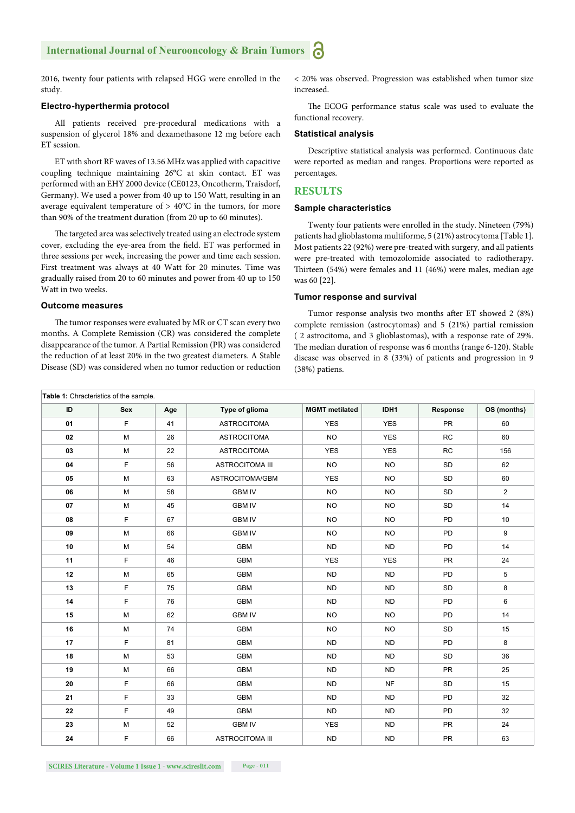2016, twenty four patients with relapsed HGG were enrolled in the study.

#### **Electro-hyperthermia protocol**

All patients received pre-procedural medications with a suspension of glycerol 18% and dexamethasone 12 mg before each ET session.

ET with short RF waves of 13.56 MHz was applied with capacitive coupling technique maintaining 26°C at skin contact. ET was performed with an EHY 2000 device (CE0123, Oncotherm, Traisdorf, Germany). We used a power from 40 up to 150 Watt, resulting in an average equivalent temperature of > 40°C in the tumors, for more than 90% of the treatment duration (from 20 up to 60 minutes).

The targeted area was selectively treated using an electrode system cover, excluding the eye-area from the field. ET was performed in three sessions per week, increasing the power and time each session. First treatment was always at 40 Watt for 20 minutes. Time was gradually raised from 20 to 60 minutes and power from 40 up to 150 Watt in two weeks.

#### **Outcome measures**

The tumor responses were evaluated by MR or CT scan every two months. A Complete Remission (CR) was considered the complete disappearance of the tumor. A Partial Remission (PR) was considered the reduction of at least 20% in the two greatest diameters. A Stable Disease (SD) was considered when no tumor reduction or reduction

< 20% was observed. Progression was established when tumor size increased.

The ECOG performance status scale was used to evaluate the functional recovery.

#### **Statistical analysis**

Descriptive statistical analysis was performed. Continuous date were reported as median and ranges. Proportions were reported as percentages.

#### **RESULTS**

#### **Sample characteristics**

Twenty four patients were enrolled in the study. Nineteen (79%) patients had glioblastoma multiforme, 5 (21%) astrocytoma [Table 1]. Most patients 22 (92%) were pre-treated with surgery, and all patients were pre-treated with temozolomide associated to radiotherapy. Thirteen (54%) were females and 11 (46%) were males, median age was 60 [22].

#### **Tumor response and survival**

Tumor response analysis two months after ET showed 2 (8%) complete remission (astrocytomas) and 5 (21%) partial remission ( 2 astrocitoma, and 3 glioblastomas), with a response rate of 29%. The median duration of response was 6 months (range 6-120). Stable disease was observed in 8 (33%) of patients and progression in 9 (38%) patiens.

| Table 1: Chracteristics of the sample. |     |     |                        |                       |            |           |                |
|----------------------------------------|-----|-----|------------------------|-----------------------|------------|-----------|----------------|
| ID                                     | Sex | Age | Type of glioma         | <b>MGMT</b> metilated | IDH1       | Response  | OS (months)    |
| 01                                     | F   | 41  | <b>ASTROCITOMA</b>     | <b>YES</b>            | <b>YES</b> | <b>PR</b> | 60             |
| 02                                     | M   | 26  | <b>ASTROCITOMA</b>     | <b>NO</b>             | <b>YES</b> | RC        | 60             |
| 03                                     | M   | 22  | <b>ASTROCITOMA</b>     | <b>YES</b>            | <b>YES</b> | RC        | 156            |
| 04                                     | F.  | 56  | <b>ASTROCITOMA III</b> | <b>NO</b>             | <b>NO</b>  | <b>SD</b> | 62             |
| 05                                     | M   | 63  | ASTROCITOMA/GBM        | <b>YES</b>            | <b>NO</b>  | SD        | 60             |
| 06                                     | M   | 58  | <b>GBM IV</b>          | <b>NO</b>             | <b>NO</b>  | SD        | $\overline{2}$ |
| 07                                     | M   | 45  | <b>GBM IV</b>          | <b>NO</b>             | <b>NO</b>  | SD        | 14             |
| 08                                     | F   | 67  | <b>GBM IV</b>          | <b>NO</b>             | <b>NO</b>  | <b>PD</b> | 10             |
| 09                                     | M   | 66  | <b>GBM IV</b>          | <b>NO</b>             | <b>NO</b>  | PD        | 9              |
| 10                                     | M   | 54  | <b>GBM</b>             | <b>ND</b>             | <b>ND</b>  | PD        | 14             |
| 11                                     | F   | 46  | <b>GBM</b>             | <b>YES</b>            | <b>YES</b> | <b>PR</b> | 24             |
| 12                                     | M   | 65  | <b>GBM</b>             | <b>ND</b>             | <b>ND</b>  | PD        | 5              |
| 13                                     | F   | 75  | <b>GBM</b>             | <b>ND</b>             | <b>ND</b>  | SD        | 8              |
| 14                                     | F   | 76  | <b>GBM</b>             | <b>ND</b>             | <b>ND</b>  | PD        | 6              |
| 15                                     | M   | 62  | <b>GBM IV</b>          | <b>NO</b>             | <b>NO</b>  | PD        | 14             |
| 16                                     | M   | 74  | <b>GBM</b>             | <b>NO</b>             | <b>NO</b>  | <b>SD</b> | 15             |
| 17                                     | F.  | 81  | <b>GBM</b>             | <b>ND</b>             | <b>ND</b>  | PD        | 8              |
| 18                                     | M   | 53  | <b>GBM</b>             | <b>ND</b>             | <b>ND</b>  | SD        | 36             |
| 19                                     | M   | 66  | <b>GBM</b>             | <b>ND</b>             | <b>ND</b>  | PR        | 25             |
| 20                                     | F   | 66  | <b>GBM</b>             | <b>ND</b>             | <b>NF</b>  | SD        | 15             |
| 21                                     | F   | 33  | <b>GBM</b>             | <b>ND</b>             | <b>ND</b>  | PD        | 32             |
| 22                                     | F   | 49  | <b>GBM</b>             | <b>ND</b>             | <b>ND</b>  | PD        | 32             |
| 23                                     | M   | 52  | <b>GBM IV</b>          | <b>YES</b>            | <b>ND</b>  | <b>PR</b> | 24             |
| 24                                     | F   | 66  | <b>ASTROCITOMA III</b> | <b>ND</b>             | <b>ND</b>  | <b>PR</b> | 63             |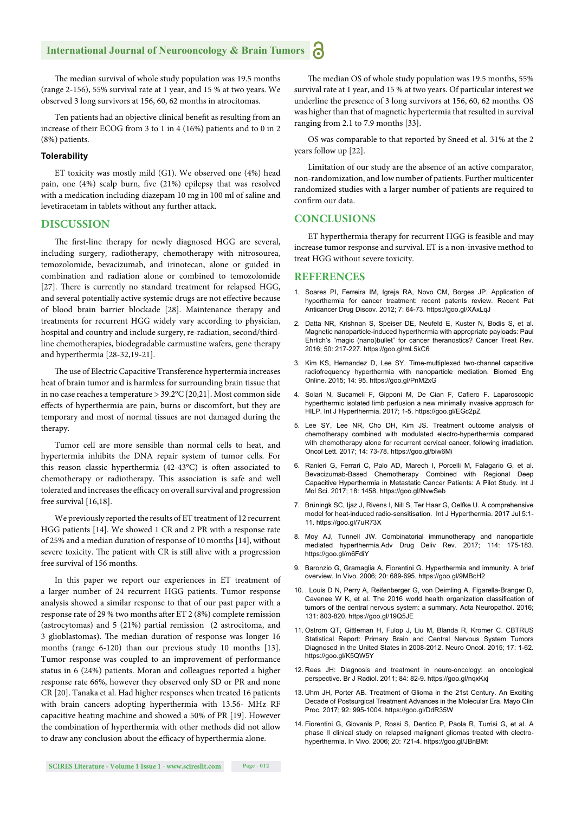The median survival of whole study population was 19.5 months (range 2-156), 55% survival rate at 1 year, and 15 % at two years. We observed 3 long survivors at 156, 60, 62 months in atrocitomas.

Ten patients had an objective clinical benefit as resulting from an increase of their ECOG from 3 to 1 in 4 (16%) patients and to 0 in 2 (8%) patients.

#### **Tolerability**

ET toxicity was mostly mild (G1). We observed one (4%) head pain, one (4%) scalp burn, five (21%) epilepsy that was resolved with a medication including diazepam 10 mg in 100 ml of saline and levetiracetam in tablets without any further attack.

#### **DISCUSSION**

The first-line therapy for newly diagnosed HGG are several, including surgery, radiotherapy, chemotherapy with nitrosourea, temozolomide, bevacizumab, and irinotecan, alone or guided in combination and radiation alone or combined to temozolomide [27]. There is currently no standard treatment for relapsed HGG, and several potentially active systemic drugs are not effective because of blood brain barrier blockade [28]. Maintenance therapy and treatments for recurrent HGG widely vary according to physician, hospital and country and include surgery, re-radiation, second/thirdline chemotherapies, biodegradable carmustine wafers, gene therapy and hyperthermia [28-32,19-21].

The use of Electric Capacitive Transference hypertermia increases heat of brain tumor and is harmless for surrounding brain tissue that in no case reaches a temperature > 39.2°C [20,21]. Most common side effects of hyperthermia are pain, burns or discomfort, but they are temporary and most of normal tissues are not damaged during the therapy.

Tumor cell are more sensible than normal cells to heat, and hypertermia inhibits the DNA repair system of tumor cells. For this reason classic hyperthermia  $(42-43^{\circ}C)$  is often associated to chemotherapy or radiotherapy. This association is safe and well tolerated and increases the efficacy on overall survival and progression free survival [16,18].

We previously reported the results of ET treatment of 12 recurrent HGG patients [14]. We showed 1 CR and 2 PR with a response rate of 25% and a median duration of response of 10 months [14], without severe toxicity. The patient with CR is still alive with a progression free survival of 156 months.

In this paper we report our experiences in ET treatment of a larger number of 24 recurrent HGG patients. Tumor response analysis showed a similar response to that of our past paper with a response rate of 29 % two months after ET 2 (8%) complete remission (astrocytomas) and 5 (21%) partial remission (2 astrocitoma, and 3 glioblastomas). The median duration of response was longer 16 months (range 6-120) than our previous study 10 months [13]. Tumor response was coupled to an improvement of performance status in 6 (24%) patients. Moran and colleagues reported a higher response rate 66%, however they observed only SD or PR and none CR [20]. Tanaka et al. Had higher responses when treated 16 patients with brain cancers adopting hyperthermia with 13.56- MHz RF capacitive heating machine and showed a 50% of PR [19]. However the combination of hyperthermia with other methods did not allow to draw any conclusion about the efficacy of hyperthermia alone.

The median OS of whole study population was 19.5 months, 55% survival rate at 1 year, and 15 % at two years. Of particular interest we underline the presence of 3 long survivors at 156, 60, 62 months. OS was higher than that of magnetic hypertermia that resulted in survival ranging from 2.1 to 7.9 months [33].

OS was comparable to that reported by Sneed et al. 31% at the 2 years follow up [22].

Limitation of our study are the absence of an active comparator, non-randomization, and low number of patients. Further multicenter randomized studies with a larger number of patients are required to confirm our data.

#### **CONCLUSIONS**

ET hyperthermia therapy for recurrent HGG is feasible and may increase tumor response and survival. ET is a non-invasive method to treat HGG without severe toxicity.

#### **REFERENCES**

- 1. Soares PI, Ferreira IM, Igreja RA, Novo CM, Borges JP. Application of hyperthermia for cancer treatment: recent patents review. Recent Pat Anticancer Drug Discov. 2012; 7: 64-73. https://goo.gl/XAxLqJ
- 2. Datta NR, Krishnan S, Speiser DE, Neufeld E, Kuster N, Bodis S, et al. Magnetic nanoparticle-induced hyperthermia with appropriate payloads: Paul Ehrlich's "magic (nano)bullet" for cancer theranostics? Cancer Treat Rev. 2016; 50: 217-227. https://goo.gl/mL5kC6
- 3. Kim KS, Hernandez D, Lee SY. Time-multiplexed two-channel capacitive radiofrequency hyperthermia with nanoparticle mediation. Biomed Eng Online. 2015; 14: 95. https://goo.gl/PnM2xG
- 4. Solari N, Sucameli F, Gipponi M, De Cian F, Cafiero F. Laparoscopic hyperthermic isolated limb perfusion a new minimally invasive approach for HILP. Int J Hyperthermia. 2017; 1-5. https://goo.gl/EGc2pZ
- 5. Lee SY, Lee NR, Cho DH, Kim JS. Treatment outcome analysis of chemotherapy combined with modulated electro-hyperthermia compared with chemotherapy alone for recurrent cervical cancer, following irradiation. Oncol Lett. 2017; 14: 73-78. https://goo.gl/biw6Mi
- 6. Ranieri G, Ferrari C, Palo AD, Marech I, Porcelli M, Falagario G, et al. Bevacizumab-Based Chemotherapy Combined with Regional Deep Capacitive Hyperthermia in Metastatic Cancer Patients: A Pilot Study. Int J Mol Sci. 2017; 18: 1458. https://goo.gl/NvwSeb
- 7. Brüningk SC, Ijaz J, Rivens I, Nill S, Ter Haar G, Oelfke U. A comprehensive model for heat-induced radio-sensitisation. Int J Hyperthermia. 2017 Jul 5:1- 11. https://goo.gl/7uR73X
- 8. Moy AJ, Tunnell JW. Combinatorial immunotherapy and nanoparticle mediated hyperthermia.Adv Drug Deliv Rev. 2017; 114: 175-183. https://goo.gl/m6FdiY
- 9. Baronzio G, Gramaglia A, Fiorentini G. Hyperthermia and immunity. A brief overview. In Vivo. 2006; 20: 689-695. https://goo.gl/9MBcH2
- 10. . Louis D N, Perry A, Reifenberger G, von Deimling A, Figarella-Branger D, Cavenee W K, et al. The 2016 world health organization classification of tumors of the central nervous system: a summary. Acta Neuropathol. 2016; 131: 803-820. https://goo.gl/19Q5JE
- 11. Ostrom QT, Gittleman H, Fulop J, Liu M, Blanda R, Kromer C. CBTRUS Statistical Report: Primary Brain and Central Nervous System Tumors Diagnosed in the United States in 2008-2012. Neuro Oncol. 2015; 17: 1-62. https://goo.gl/K5QW5Y
- 12. Rees JH: Diagnosis and treatment in neuro-oncology: an oncological perspective. Br J Radiol. 2011; 84: 82-9. https://goo.gl/nqxKxj
- 13. Uhm JH, Porter AB. Treatment of Glioma in the 21st Century. An Exciting Decade of Postsurgical Treatment Advances in the Molecular Era. Mayo Clin Proc. 2017; 92: 995-1004. https://goo.gl/DdR35W
- 14. Fiorentini G, Giovanis P, Rossi S, Dentico P, Paola R, Turrisi G, et al. A phase II clinical study on relapsed malignant gliomas treated with electrohyperthermia. In Vivo. 2006; 20: 721-4. https://goo.gl/JBnBMt